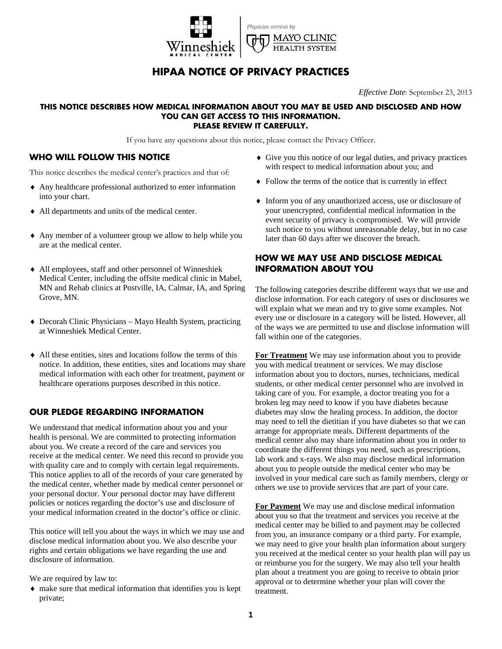

# **HIPAA NOTICE OF PRIVACY PRACTICES**

*Effective Date*: September 23, 2013

### **THIS NOTICE DESCRIBES HOW MEDICAL INFORMATION ABOUT YOU MAY BE USED AND DISCLOSED AND HOW YOU CAN GET ACCESS TO THIS INFORMATION. PLEASE REVIEW IT CAREFULLY.**

If you have any questions about this notice, please contact the Privacy Officer.

## **WHO WILL FOLLOW THIS NOTICE**

This notice describes the medical center's practices and that of:

- Any healthcare professional authorized to enter information into your chart.
- All departments and units of the medical center.
- Any member of a volunteer group we allow to help while you are at the medical center.
- All employees, staff and other personnel of Winneshiek Medical Center, including the offsite medical clinic in Mabel, MN and Rehab clinics at Postville, IA, Calmar, IA, and Spring Grove, MN.
- Decorah Clinic Physicians Mayo Health System, practicing at Winneshiek Medical Center.
- All these entities, sites and locations follow the terms of this notice. In addition, these entities, sites and locations may share medical information with each other for treatment, payment or healthcare operations purposes described in this notice.

# **OUR PLEDGE REGARDING INFORMATION**

We understand that medical information about you and your health is personal. We are committed to protecting information about you. We create a record of the care and services you receive at the medical center. We need this record to provide you with quality care and to comply with certain legal requirements. This notice applies to all of the records of your care generated by the medical center, whether made by medical center personnel or your personal doctor. Your personal doctor may have different policies or notices regarding the doctor's use and disclosure of your medical information created in the doctor's office or clinic.

This notice will tell you about the ways in which we may use and disclose medical information about you. We also describe your rights and certain obligations we have regarding the use and disclosure of information.

We are required by law to:

 make sure that medical information that identifies you is kept private;

- Give you this notice of our legal duties, and privacy practices with respect to medical information about you; and
- Follow the terms of the notice that is currently in effect
- Inform you of any unauthorized access, use or disclosure of your unencrypted, confidential medical information in the event security of privacy is compromised. We will provide such notice to you without unreasonable delay, but in no case later than 60 days after we discover the breach.

## **HOW WE MAY USE AND DISCLOSE MEDICAL INFORMATION ABOUT YOU**

The following categories describe different ways that we use and disclose information. For each category of uses or disclosures we will explain what we mean and try to give some examples. Not every use or disclosure in a category will be listed. However, all of the ways we are permitted to use and disclose information will fall within one of the categories.

**For Treatment** We may use information about you to provide you with medical treatment or services. We may disclose information about you to doctors, nurses, technicians, medical students, or other medical center personnel who are involved in taking care of you. For example, a doctor treating you for a broken leg may need to know if you have diabetes because diabetes may slow the healing process. In addition, the doctor may need to tell the dietitian if you have diabetes so that we can arrange for appropriate meals. Different departments of the medical center also may share information about you in order to coordinate the different things you need, such as prescriptions, lab work and x-rays. We also may disclose medical information about you to people outside the medical center who may be involved in your medical care such as family members, clergy or others we use to provide services that are part of your care.

**For Payment** We may use and disclose medical information about you so that the treatment and services you receive at the medical center may be billed to and payment may be collected from you, an insurance company or a third party. For example, we may need to give your health plan information about surgery you received at the medical center so your health plan will pay us or reimburse you for the surgery. We may also tell your health plan about a treatment you are going to receive to obtain prior approval or to determine whether your plan will cover the treatment.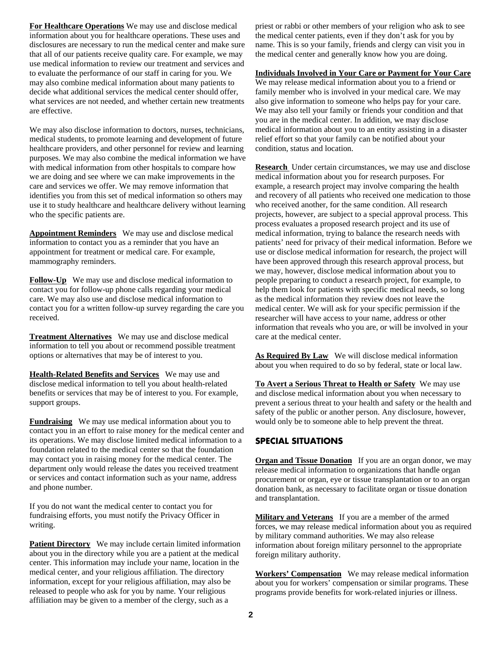**For Healthcare Operations** We may use and disclose medical information about you for healthcare operations. These uses and disclosures are necessary to run the medical center and make sure that all of our patients receive quality care. For example, we may use medical information to review our treatment and services and to evaluate the performance of our staff in caring for you. We may also combine medical information about many patients to decide what additional services the medical center should offer, what services are not needed, and whether certain new treatments are effective.

We may also disclose information to doctors, nurses, technicians, medical students, to promote learning and development of future healthcare providers, and other personnel for review and learning purposes. We may also combine the medical information we have with medical information from other hospitals to compare how we are doing and see where we can make improvements in the care and services we offer. We may remove information that identifies you from this set of medical information so others may use it to study healthcare and healthcare delivery without learning who the specific patients are.

**Appointment Reminders** We may use and disclose medical information to contact you as a reminder that you have an appointment for treatment or medical care. For example, mammography reminders.

**Follow-Up** We may use and disclose medical information to contact you for follow-up phone calls regarding your medical care. We may also use and disclose medical information to contact you for a written follow-up survey regarding the care you received.

**Treatment Alternatives** We may use and disclose medical information to tell you about or recommend possible treatment options or alternatives that may be of interest to you.

**Health-Related Benefits and Services** We may use and disclose medical information to tell you about health-related benefits or services that may be of interest to you. For example, support groups.

**Fundraising** We may use medical information about you to contact you in an effort to raise money for the medical center and its operations. We may disclose limited medical information to a foundation related to the medical center so that the foundation may contact you in raising money for the medical center. The department only would release the dates you received treatment or services and contact information such as your name, address and phone number.

If you do not want the medical center to contact you for fundraising efforts, you must notify the Privacy Officer in writing.

**Patient Directory** We may include certain limited information about you in the directory while you are a patient at the medical center. This information may include your name, location in the medical center, and your religious affiliation. The directory information, except for your religious affiliation, may also be released to people who ask for you by name. Your religious affiliation may be given to a member of the clergy, such as a

priest or rabbi or other members of your religion who ask to see the medical center patients, even if they don't ask for you by name. This is so your family, friends and clergy can visit you in the medical center and generally know how you are doing.

### **Individuals Involved in Your Care or Payment for Your Care**

We may release medical information about you to a friend or family member who is involved in your medical care. We may also give information to someone who helps pay for your care. We may also tell your family or friends your condition and that you are in the medical center. In addition, we may disclose medical information about you to an entity assisting in a disaster relief effort so that your family can be notified about your condition, status and location.

**Research** Under certain circumstances, we may use and disclose medical information about you for research purposes. For example, a research project may involve comparing the health and recovery of all patients who received one medication to those who received another, for the same condition. All research projects, however, are subject to a special approval process. This process evaluates a proposed research project and its use of medical information, trying to balance the research needs with patients' need for privacy of their medical information. Before we use or disclose medical information for research, the project will have been approved through this research approval process, but we may, however, disclose medical information about you to people preparing to conduct a research project, for example, to help them look for patients with specific medical needs, so long as the medical information they review does not leave the medical center. We will ask for your specific permission if the researcher will have access to your name, address or other information that reveals who you are, or will be involved in your care at the medical center.

**As Required By Law** We will disclose medical information about you when required to do so by federal, state or local law.

**To Avert a Serious Threat to Health or Safety** We may use and disclose medical information about you when necessary to prevent a serious threat to your health and safety or the health and safety of the public or another person. Any disclosure, however, would only be to someone able to help prevent the threat.

### **SPECIAL SITUATIONS**

**Organ and Tissue Donation** If you are an organ donor, we may release medical information to organizations that handle organ procurement or organ, eye or tissue transplantation or to an organ donation bank, as necessary to facilitate organ or tissue donation and transplantation.

**Military and Veterans** If you are a member of the armed forces, we may release medical information about you as required by military command authorities. We may also release information about foreign military personnel to the appropriate foreign military authority.

**Workers' Compensation** We may release medical information about you for workers' compensation or similar programs. These programs provide benefits for work-related injuries or illness.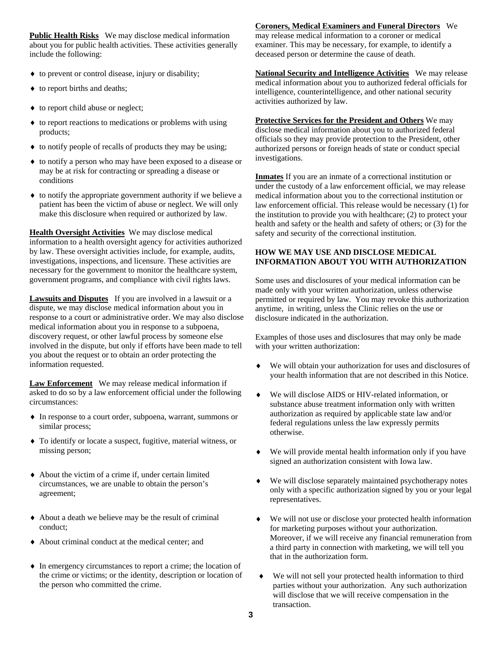**Public Health Risks** We may disclose medical information about you for public health activities. These activities generally include the following:

- $\bullet$  to prevent or control disease, injury or disability;
- $\bullet$  to report births and deaths;
- $\bullet$  to report child abuse or neglect;
- $\bullet$  to report reactions to medications or problems with using products;
- $\bullet$  to notify people of recalls of products they may be using;
- to notify a person who may have been exposed to a disease or may be at risk for contracting or spreading a disease or conditions
- $\bullet$  to notify the appropriate government authority if we believe a patient has been the victim of abuse or neglect. We will only make this disclosure when required or authorized by law.

**Health Oversight Activities** We may disclose medical information to a health oversight agency for activities authorized by law. These oversight activities include, for example, audits, investigations, inspections, and licensure. These activities are necessary for the government to monitor the healthcare system, government programs, and compliance with civil rights laws.

**Lawsuits and Disputes** If you are involved in a lawsuit or a dispute, we may disclose medical information about you in response to a court or administrative order. We may also disclose medical information about you in response to a subpoena, discovery request, or other lawful process by someone else involved in the dispute, but only if efforts have been made to tell you about the request or to obtain an order protecting the information requested.

**Law Enforcement** We may release medical information if asked to do so by a law enforcement official under the following circumstances:

- In response to a court order, subpoena, warrant, summons or similar process;
- To identify or locate a suspect, fugitive, material witness, or missing person;
- About the victim of a crime if, under certain limited circumstances, we are unable to obtain the person's agreement;
- About a death we believe may be the result of criminal conduct;
- About criminal conduct at the medical center; and
- In emergency circumstances to report a crime; the location of the crime or victims; or the identity, description or location of the person who committed the crime.

**Coroners, Medical Examiners and Funeral Directors** We may release medical information to a coroner or medical examiner. This may be necessary, for example, to identify a deceased person or determine the cause of death.

**National Security and Intelligence Activities** We may release medical information about you to authorized federal officials for intelligence, counterintelligence, and other national security activities authorized by law.

# **Protective Services for the President and Others** We may

disclose medical information about you to authorized federal officials so they may provide protection to the President, other authorized persons or foreign heads of state or conduct special investigations.

**Inmates** If you are an inmate of a correctional institution or under the custody of a law enforcement official, we may release medical information about you to the correctional institution or law enforcement official. This release would be necessary (1) for the institution to provide you with healthcare; (2) to protect your health and safety or the health and safety of others; or (3) for the safety and security of the correctional institution.

### **HOW WE MAY USE AND DISCLOSE MEDICAL INFORMATION ABOUT YOU WITH AUTHORIZATION**

Some uses and disclosures of your medical information can be made only with your written authorization, unless otherwise permitted or required by law. You may revoke this authorization anytime, in writing, unless the Clinic relies on the use or disclosure indicated in the authorization.

Examples of those uses and disclosures that may only be made with your written authorization:

- We will obtain your authorization for uses and disclosures of your health information that are not described in this Notice.
- We will disclose AIDS or HIV-related information, or substance abuse treatment information only with written authorization as required by applicable state law and/or federal regulations unless the law expressly permits otherwise.
- We will provide mental health information only if you have signed an authorization consistent with Iowa law.
- We will disclose separately maintained psychotherapy notes only with a specific authorization signed by you or your legal representatives.
- We will not use or disclose your protected health information for marketing purposes without your authorization. Moreover, if we will receive any financial remuneration from a third party in connection with marketing, we will tell you that in the authorization form.
- We will not sell your protected health information to third parties without your authorization. Any such authorization will disclose that we will receive compensation in the transaction.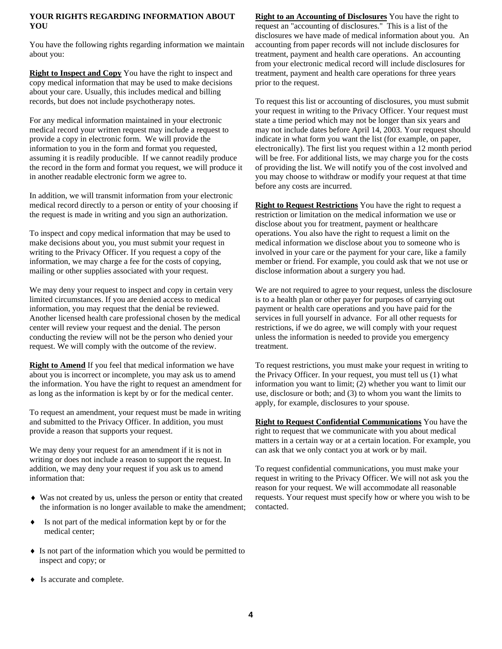#### **YOUR RIGHTS REGARDING INFORMATION ABOUT YOU**

You have the following rights regarding information we maintain about you:

**Right to Inspect and Copy** You have the right to inspect and copy medical information that may be used to make decisions about your care. Usually, this includes medical and billing records, but does not include psychotherapy notes.

For any medical information maintained in your electronic medical record your written request may include a request to provide a copy in electronic form. We will provide the information to you in the form and format you requested, assuming it is readily producible. If we cannot readily produce the record in the form and format you request, we will produce it in another readable electronic form we agree to.

In addition, we will transmit information from your electronic medical record directly to a person or entity of your choosing if the request is made in writing and you sign an authorization.

To inspect and copy medical information that may be used to make decisions about you, you must submit your request in writing to the Privacy Officer. If you request a copy of the information, we may charge a fee for the costs of copying, mailing or other supplies associated with your request.

We may deny your request to inspect and copy in certain very limited circumstances. If you are denied access to medical information, you may request that the denial be reviewed. Another licensed health care professional chosen by the medical center will review your request and the denial. The person conducting the review will not be the person who denied your request. We will comply with the outcome of the review.

**Right to Amend** If you feel that medical information we have about you is incorrect or incomplete, you may ask us to amend the information. You have the right to request an amendment for as long as the information is kept by or for the medical center.

To request an amendment, your request must be made in writing and submitted to the Privacy Officer. In addition, you must provide a reason that supports your request.

We may deny your request for an amendment if it is not in writing or does not include a reason to support the request. In addition, we may deny your request if you ask us to amend information that:

- Was not created by us, unless the person or entity that created the information is no longer available to make the amendment;
- Is not part of the medical information kept by or for the medical center;
- Is not part of the information which you would be permitted to inspect and copy; or
- Is accurate and complete.

**Right to an Accounting of Disclosures** You have the right to request an "accounting of disclosures." This is a list of the disclosures we have made of medical information about you. An accounting from paper records will not include disclosures for treatment, payment and health care operations. An accounting from your electronic medical record will include disclosures for treatment, payment and health care operations for three years prior to the request.

To request this list or accounting of disclosures, you must submit your request in writing to the Privacy Officer. Your request must state a time period which may not be longer than six years and may not include dates before April 14, 2003. Your request should indicate in what form you want the list (for example, on paper, electronically). The first list you request within a 12 month period will be free. For additional lists, we may charge you for the costs of providing the list. We will notify you of the cost involved and you may choose to withdraw or modify your request at that time before any costs are incurred.

**Right to Request Restrictions** You have the right to request a restriction or limitation on the medical information we use or disclose about you for treatment, payment or healthcare operations. You also have the right to request a limit on the medical information we disclose about you to someone who is involved in your care or the payment for your care, like a family member or friend. For example, you could ask that we not use or disclose information about a surgery you had.

We are not required to agree to your request, unless the disclosure is to a health plan or other payer for purposes of carrying out payment or health care operations and you have paid for the services in full yourself in advance. For all other requests for restrictions, if we do agree, we will comply with your request unless the information is needed to provide you emergency treatment.

To request restrictions, you must make your request in writing to the Privacy Officer. In your request, you must tell us (1) what information you want to limit; (2) whether you want to limit our use, disclosure or both; and (3) to whom you want the limits to apply, for example, disclosures to your spouse.

**Right to Request Confidential Communications** You have the right to request that we communicate with you about medical matters in a certain way or at a certain location. For example, you can ask that we only contact you at work or by mail.

To request confidential communications, you must make your request in writing to the Privacy Officer. We will not ask you the reason for your request. We will accommodate all reasonable requests. Your request must specify how or where you wish to be contacted.